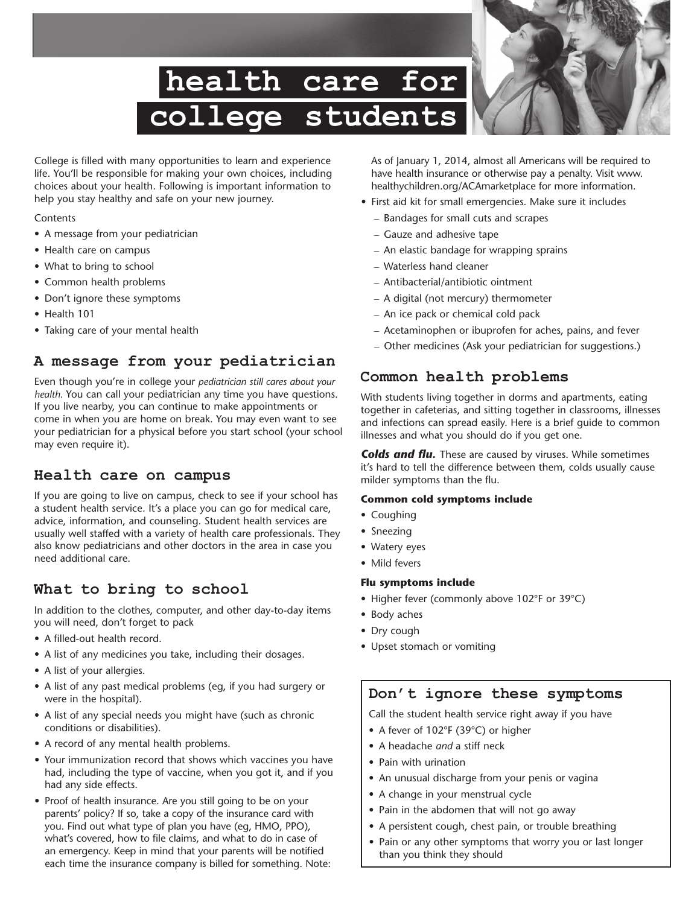# **health care for college students**



College is filled with many opportunities to learn and experience life. You'll be responsible for making your own choices, including choices about your health. Following is important information to help you stay healthy and safe on your new journey.

#### **Contents**

- A message from your pediatrician
- Health care on campus
- What to bring to school
- • Common health problems
- Don't ignore these symptoms
- Health 101
- Taking care of your mental health

# **A message from your pediatrician**

Even though you're in college your *pediatrician still cares about your health.* You can call your pediatrician any time you have questions. If you live nearby, you can continue to make appointments or come in when you are home on break. You may even want to see your pediatrician for a physical before you start school (your school may even require it).

# **Health care on campus**

If you are going to live on campus, check to see if your school has a student health service. It's a place you can go for medical care, advice, information, and counseling. Student health services are usually well staffed with a variety of health care professionals. They also know pediatricians and other doctors in the area in case you need additional care.

# **What to bring to school**

In addition to the clothes, computer, and other day-to-day items you will need, don't forget to pack

- A filled-out health record.
- A list of any medicines you take, including their dosages.
- A list of your allergies.
- A list of any past medical problems (eg, if you had surgery or were in the hospital).
- A list of any special needs you might have (such as chronic conditions or disabilities).
- A record of any mental health problems.
- Your immunization record that shows which vaccines you have had, including the type of vaccine, when you got it, and if you had any side effects.
- Proof of health insurance. Are you still going to be on your parents' policy? If so, take a copy of the insurance card with you. Find out what type of plan you have (eg, HMO, PPO), what's covered, how to file claims, and what to do in case of an emergency. Keep in mind that your parents will be notified each time the insurance company is billed for something. Note:

As of January 1, 2014, almost all Americans will be required to have health insurance or otherwise pay a penalty. Visit www. healthychildren.org/ACAmarketplace for more information.

- First aid kit for small emergencies. Make sure it includes
	- Bandages for small cuts and scrapes
	- Gauze and adhesive tape
	- An elastic bandage for wrapping sprains
	- Waterless hand cleaner
	- Antibacterial/antibiotic ointment
	- A digital (not mercury) thermometer
	- An ice pack or chemical cold pack
	- Acetaminophen or ibuprofen for aches, pains, and fever
	- Other medicines (Ask your pediatrician for suggestions.)

# **Common health problems**

With students living together in dorms and apartments, eating together in cafeterias, and sitting together in classrooms, illnesses and infections can spread easily. Here is a brief guide to common illnesses and what you should do if you get one.

*Colds and flu.* These are caused by viruses. While sometimes it's hard to tell the difference between them, colds usually cause milder symptoms than the flu.

## **Common cold symptoms include**

- Coughing
- Sneezing
- Watery eyes
- Mild fevers

## **Flu symptoms include**

- Higher fever (commonly above 102°F or 39°C)
- Body aches
- Dry cough
- • Upset stomach or vomiting

# **Don't ignore these symptoms**

Call the student health service right away if you have

- A fever of 102°F (39°C) or higher
- • A headache *and* a stiff neck
- Pain with urination
- An unusual discharge from your penis or vagina
- A change in your menstrual cycle
- Pain in the abdomen that will not go away
- A persistent cough, chest pain, or trouble breathing
- Pain or any other symptoms that worry you or last longer than you think they should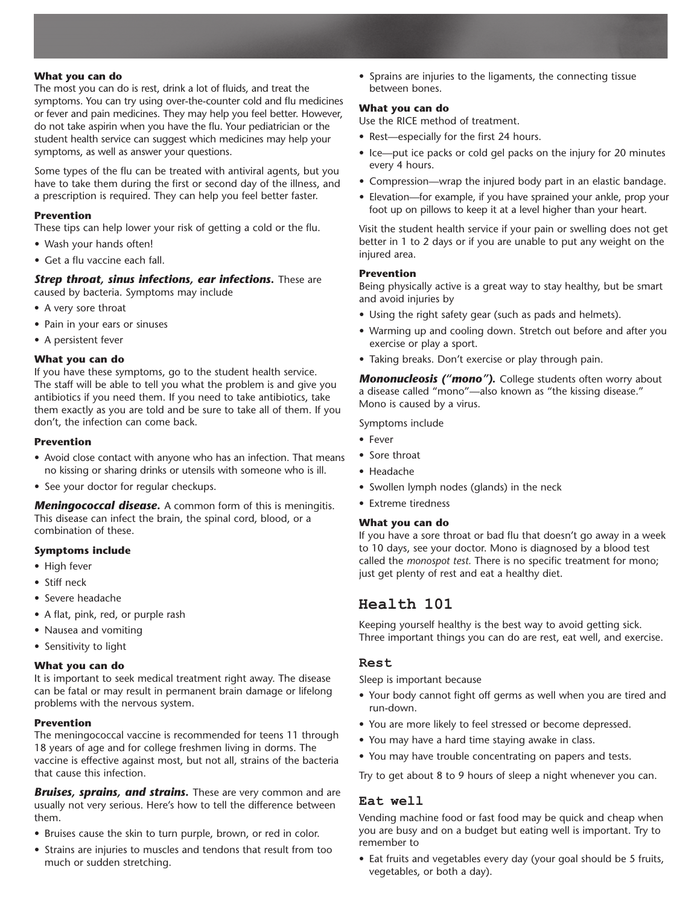#### **What you can do**

The most you can do is rest, drink a lot of fluids, and treat the symptoms. You can try using over-the-counter cold and flu medicines or fever and pain medicines. They may help you feel better. However, do not take aspirin when you have the flu. Your pediatrician or the student health service can suggest which medicines may help your symptoms, as well as answer your questions.

Some types of the flu can be treated with antiviral agents, but you have to take them during the first or second day of the illness, and a prescription is required. They can help you feel better faster.

#### **Prevention**

These tips can help lower your risk of getting a cold or the flu.

- Wash your hands often!
- Get a flu vaccine each fall.

#### *Strep throat, sinus infections, ear infections.* **These are** caused by bacteria. Symptoms may include

- A very sore throat
- Pain in your ears or sinuses
- A persistent fever

#### **What you can do**

If you have these symptoms, go to the student health service. The staff will be able to tell you what the problem is and give you antibiotics if you need them. If you need to take antibiotics, take them exactly as you are told and be sure to take all of them. If you don't, the infection can come back.

#### **Prevention**

- Avoid close contact with anyone who has an infection. That means no kissing or sharing drinks or utensils with someone who is ill.
- See your doctor for regular checkups.

*Meningococcal disease.* A common form of this is meningitis. This disease can infect the brain, the spinal cord, blood, or a combination of these.

#### **Symptoms include**

- • High fever
- Stiff neck
- • Severe headache
- A flat, pink, red, or purple rash
- Nausea and vomiting
- Sensitivity to light

#### **What you can do**

It is important to seek medical treatment right away. The disease can be fatal or may result in permanent brain damage or lifelong problems with the nervous system.

#### **Prevention**

The meningococcal vaccine is recommended for teens 11 through 18 years of age and for college freshmen living in dorms. The vaccine is effective against most, but not all, strains of the bacteria that cause this infection.

*Bruises, sprains, and strains.* These are very common and are usually not very serious. Here's how to tell the difference between them.

- Bruises cause the skin to turn purple, brown, or red in color.
- Strains are injuries to muscles and tendons that result from too much or sudden stretching.

• Sprains are injuries to the ligaments, the connecting tissue between bones.

#### **What you can do**

Use the RICE method of treatment.

- Rest-especially for the first 24 hours.
- Ice—put ice packs or cold gel packs on the injury for 20 minutes every 4 hours.
- Compression—wrap the injured body part in an elastic bandage.
- Elevation—for example, if you have sprained your ankle, prop your foot up on pillows to keep it at a level higher than your heart.

Visit the student health service if your pain or swelling does not get better in 1 to 2 days or if you are unable to put any weight on the injured area.

#### **Prevention**

Being physically active is a great way to stay healthy, but be smart and avoid injuries by

- • Using the right safety gear (such as pads and helmets).
- Warming up and cooling down. Stretch out before and after you exercise or play a sport.
- Taking breaks. Don't exercise or play through pain.

*Mononucleosis ("mono").* College students often worry about a disease called "mono"—also known as "the kissing disease." Mono is caused by a virus.

Symptoms include

- • Fever
- Sore throat
- • Headache
- Swollen lymph nodes (glands) in the neck
- Extreme tiredness

#### **What you can do**

If you have a sore throat or bad flu that doesn't go away in a week to 10 days, see your doctor. Mono is diagnosed by a blood test called the *monospot test.* There is no specific treatment for mono; just get plenty of rest and eat a healthy diet.

## **Health 101**

Keeping yourself healthy is the best way to avoid getting sick. Three important things you can do are rest, eat well, and exercise.

#### **Rest**

Sleep is important because

- Your body cannot fight off germs as well when you are tired and run-down.
- You are more likely to feel stressed or become depressed.
- You may have a hard time staying awake in class.
- You may have trouble concentrating on papers and tests.

Try to get about 8 to 9 hours of sleep a night whenever you can.

# **Eat well**

Vending machine food or fast food may be quick and cheap when you are busy and on a budget but eating well is important. Try to remember to

• Eat fruits and vegetables every day (your goal should be 5 fruits, vegetables, or both a day).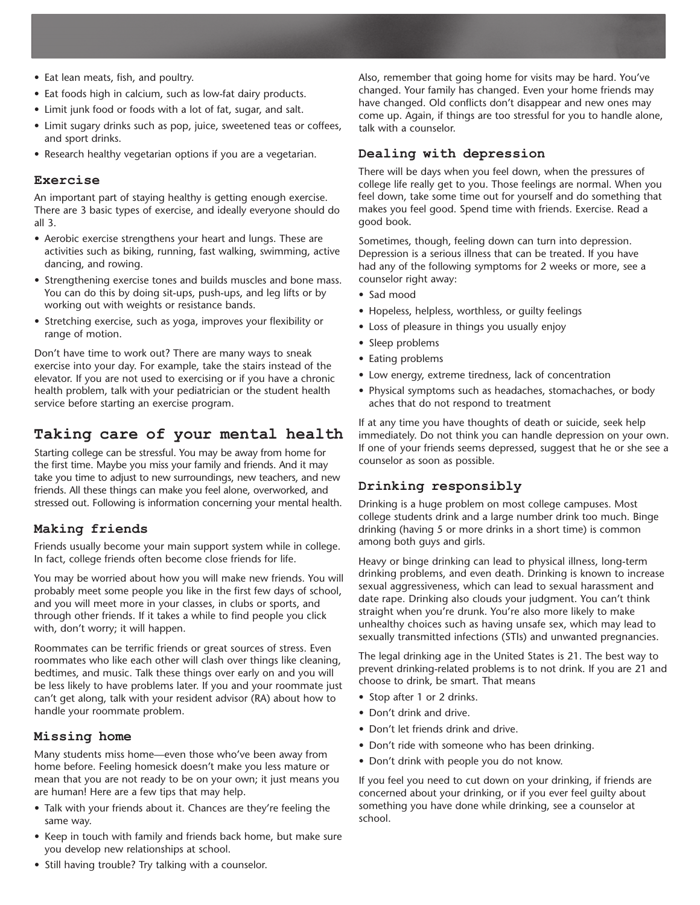- Eat lean meats, fish, and poultry.
- Eat foods high in calcium, such as low-fat dairy products.
- Limit junk food or foods with a lot of fat, sugar, and salt.
- Limit sugary drinks such as pop, juice, sweetened teas or coffees, and sport drinks.
- Research healthy vegetarian options if you are a vegetarian.

#### **Exercise**

An important part of staying healthy is getting enough exercise. There are 3 basic types of exercise, and ideally everyone should do all 3.

- Aerobic exercise strengthens your heart and lungs. These are activities such as biking, running, fast walking, swimming, active dancing, and rowing.
- Strengthening exercise tones and builds muscles and bone mass. You can do this by doing sit-ups, push-ups, and leg lifts or by working out with weights or resistance bands.
- Stretching exercise, such as yoga, improves your flexibility or range of motion.

Don't have time to work out? There are many ways to sneak exercise into your day. For example, take the stairs instead of the elevator. If you are not used to exercising or if you have a chronic health problem, talk with your pediatrician or the student health service before starting an exercise program.

# **Taking care of your mental health**

Starting college can be stressful. You may be away from home for the first time. Maybe you miss your family and friends. And it may take you time to adjust to new surroundings, new teachers, and new friends. All these things can make you feel alone, overworked, and stressed out. Following is information concerning your mental health.

## **Making friends**

Friends usually become your main support system while in college. In fact, college friends often become close friends for life.

You may be worried about how you will make new friends. You will probably meet some people you like in the first few days of school, and you will meet more in your classes, in clubs or sports, and through other friends. If it takes a while to find people you click with, don't worry; it will happen.

Roommates can be terrific friends or great sources of stress. Even roommates who like each other will clash over things like cleaning, bedtimes, and music. Talk these things over early on and you will be less likely to have problems later. If you and your roommate just can't get along, talk with your resident advisor (RA) about how to handle your roommate problem.

#### **Missing home**

Many students miss home—even those who've been away from home before. Feeling homesick doesn't make you less mature or mean that you are not ready to be on your own; it just means you are human! Here are a few tips that may help.

- Talk with your friends about it. Chances are they're feeling the same way.
- Keep in touch with family and friends back home, but make sure you develop new relationships at school.

Also, remember that going home for visits may be hard. You've changed. Your family has changed. Even your home friends may have changed. Old conflicts don't disappear and new ones may come up. Again, if things are too stressful for you to handle alone, talk with a counselor.

### **Dealing with depression**

There will be days when you feel down, when the pressures of college life really get to you. Those feelings are normal. When you feel down, take some time out for yourself and do something that makes you feel good. Spend time with friends. Exercise. Read a good book.

Sometimes, though, feeling down can turn into depression. Depression is a serious illness that can be treated. If you have had any of the following symptoms for 2 weeks or more, see a counselor right away:

- • Sad mood
- Hopeless, helpless, worthless, or quilty feelings
- Loss of pleasure in things you usually enjoy
- Sleep problems
- Eating problems
- Low energy, extreme tiredness, lack of concentration
- Physical symptoms such as headaches, stomachaches, or body aches that do not respond to treatment

If at any time you have thoughts of death or suicide, seek help immediately. Do not think you can handle depression on your own. If one of your friends seems depressed, suggest that he or she see a counselor as soon as possible.

## **Drinking responsibly**

Drinking is a huge problem on most college campuses. Most college students drink and a large number drink too much. Binge drinking (having 5 or more drinks in a short time) is common among both guys and girls.

Heavy or binge drinking can lead to physical illness, long-term drinking problems, and even death. Drinking is known to increase sexual aggressiveness, which can lead to sexual harassment and date rape. Drinking also clouds your judgment. You can't think straight when you're drunk. You're also more likely to make unhealthy choices such as having unsafe sex, which may lead to sexually transmitted infections (STIs) and unwanted pregnancies.

The legal drinking age in the United States is 21. The best way to prevent drinking-related problems is to not drink. If you are 21 and choose to drink, be smart. That means

- Stop after 1 or 2 drinks.
- Don't drink and drive.
- Don't let friends drink and drive.
- Don't ride with someone who has been drinking.
- Don't drink with people you do not know.

If you feel you need to cut down on your drinking, if friends are concerned about your drinking, or if you ever feel guilty about something you have done while drinking, see a counselor at school.

• Still having trouble? Try talking with a counselor.